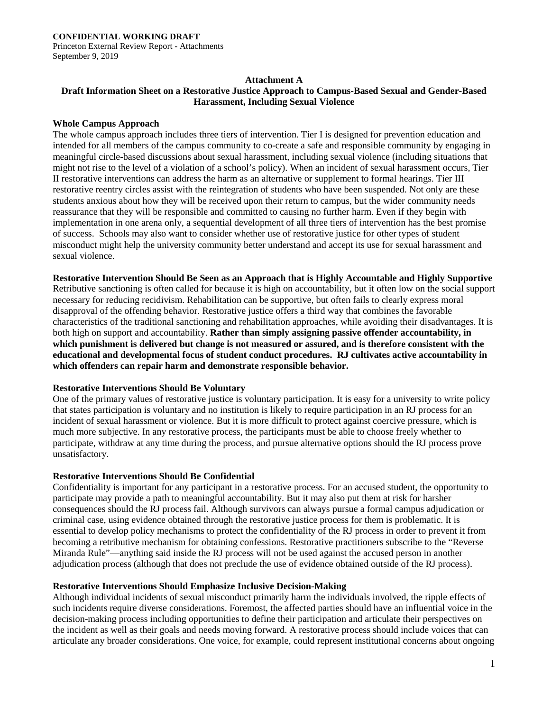Princeton External Review Report - Attachments September 9, 2019

# **Attachment A**

# **Draft Information Sheet on a Restorative Justice Approach to Campus-Based Sexual and Gender-Based Harassment, Including Sexual Violence**

#### **Whole Campus Approach**

The whole campus approach includes three tiers of intervention. Tier I is designed for prevention education and intended for all members of the campus community to co-create a safe and responsible community by engaging in meaningful circle-based discussions about sexual harassment, including sexual violence (including situations that might not rise to the level of a violation of a school's policy). When an incident of sexual harassment occurs, Tier II restorative interventions can address the harm as an alternative or supplement to formal hearings. Tier III restorative reentry circles assist with the reintegration of students who have been suspended. Not only are these students anxious about how they will be received upon their return to campus, but the wider community needs reassurance that they will be responsible and committed to causing no further harm. Even if they begin with implementation in one arena only, a sequential development of all three tiers of intervention has the best promise of success. Schools may also want to consider whether use of restorative justice for other types of student misconduct might help the university community better understand and accept its use for sexual harassment and sexual violence.

**Restorative Intervention Should Be Seen as an Approach that is Highly Accountable and Highly Supportive** Retributive sanctioning is often called for because it is high on accountability, but it often low on the social support necessary for reducing recidivism. Rehabilitation can be supportive, but often fails to clearly express moral disapproval of the offending behavior. Restorative justice offers a third way that combines the favorable characteristics of the traditional sanctioning and rehabilitation approaches, while avoiding their disadvantages. It is both high on support and accountability. **Rather than simply assigning passive offender accountability, in which punishment is delivered but change is not measured or assured, and is therefore consistent with the educational and developmental focus of student conduct procedures. RJ cultivates active accountability in which offenders can repair harm and demonstrate responsible behavior.**

# **Restorative Interventions Should Be Voluntary**

One of the primary values of restorative justice is voluntary participation. It is easy for a university to write policy that states participation is voluntary and no institution is likely to require participation in an RJ process for an incident of sexual harassment or violence. But it is more difficult to protect against coercive pressure, which is much more subjective. In any restorative process, the participants must be able to choose freely whether to participate, withdraw at any time during the process, and pursue alternative options should the RJ process prove unsatisfactory.

# **Restorative Interventions Should Be Confidential**

Confidentiality is important for any participant in a restorative process. For an accused student, the opportunity to participate may provide a path to meaningful accountability. But it may also put them at risk for harsher consequences should the RJ process fail. Although survivors can always pursue a formal campus adjudication or criminal case, using evidence obtained through the restorative justice process for them is problematic. It is essential to develop policy mechanisms to protect the confidentiality of the RJ process in order to prevent it from becoming a retributive mechanism for obtaining confessions. Restorative practitioners subscribe to the "Reverse Miranda Rule"—anything said inside the RJ process will not be used against the accused person in another adjudication process (although that does not preclude the use of evidence obtained outside of the RJ process).

# **Restorative Interventions Should Emphasize Inclusive Decision-Making**

Although individual incidents of sexual misconduct primarily harm the individuals involved, the ripple effects of such incidents require diverse considerations. Foremost, the affected parties should have an influential voice in the decision-making process including opportunities to define their participation and articulate their perspectives on the incident as well as their goals and needs moving forward. A restorative process should include voices that can articulate any broader considerations. One voice, for example, could represent institutional concerns about ongoing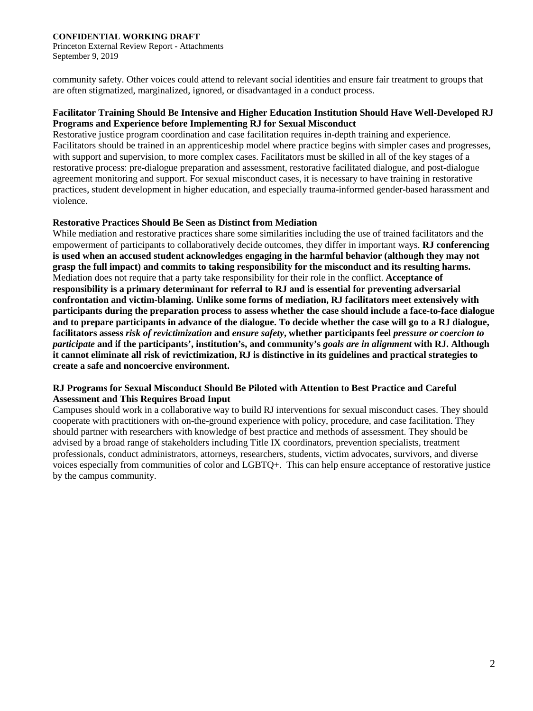#### **CONFIDENTIAL WORKING DRAFT**

Princeton External Review Report - Attachments September 9, 2019

community safety. Other voices could attend to relevant social identities and ensure fair treatment to groups that are often stigmatized, marginalized, ignored, or disadvantaged in a conduct process.

# **Facilitator Training Should Be Intensive and Higher Education Institution Should Have Well-Developed RJ Programs and Experience before Implementing RJ for Sexual Misconduct**

Restorative justice program coordination and case facilitation requires in-depth training and experience. Facilitators should be trained in an apprenticeship model where practice begins with simpler cases and progresses, with support and supervision, to more complex cases. Facilitators must be skilled in all of the key stages of a restorative process: pre-dialogue preparation and assessment, restorative facilitated dialogue, and post-dialogue agreement monitoring and support. For sexual misconduct cases, it is necessary to have training in restorative practices, student development in higher education, and especially trauma-informed gender-based harassment and violence.

# **Restorative Practices Should Be Seen as Distinct from Mediation**

While mediation and restorative practices share some similarities including the use of trained facilitators and the empowerment of participants to collaboratively decide outcomes, they differ in important ways. **RJ conferencing is used when an accused student acknowledges engaging in the harmful behavior (although they may not grasp the full impact) and commits to taking responsibility for the misconduct and its resulting harms.**  Mediation does not require that a party take responsibility for their role in the conflict. **Acceptance of responsibility is a primary determinant for referral to RJ and is essential for preventing adversarial confrontation and victim-blaming. Unlike some forms of mediation, RJ facilitators meet extensively with participants during the preparation process to assess whether the case should include a face-to-face dialogue and to prepare participants in advance of the dialogue. To decide whether the case will go to a RJ dialogue, facilitators assess** *risk of revictimization* **and** *ensure safety***, whether participants feel** *pressure or coercion to participate* **and if the participants', institution's, and community's** *goals are in alignment* **with RJ. Although it cannot eliminate all risk of revictimization, RJ is distinctive in its guidelines and practical strategies to create a safe and noncoercive environment.**

# **RJ Programs for Sexual Misconduct Should Be Piloted with Attention to Best Practice and Careful Assessment and This Requires Broad Input**

Campuses should work in a collaborative way to build RJ interventions for sexual misconduct cases. They should cooperate with practitioners with on-the-ground experience with policy, procedure, and case facilitation. They should partner with researchers with knowledge of best practice and methods of assessment. They should be advised by a broad range of stakeholders including Title IX coordinators, prevention specialists, treatment professionals, conduct administrators, attorneys, researchers, students, victim advocates, survivors, and diverse voices especially from communities of color and LGBTQ+. This can help ensure acceptance of restorative justice by the campus community.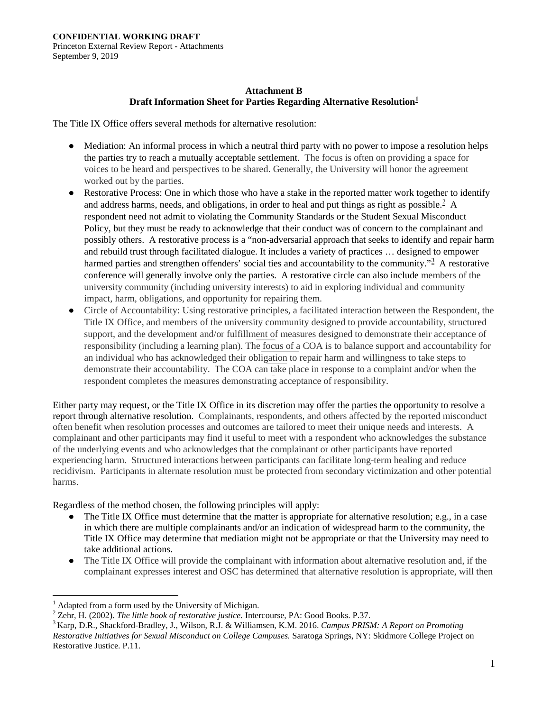# **Attachment B Draft Information Sheet for Parties Regarding Alternative Resolution[1](#page-2-0)**

The Title IX Office offers several methods for alternative resolution:

- Mediation: An informal process in which a neutral third party with no power to impose a resolution helps the parties try to reach a mutually acceptable settlement. The focus is often on providing a space for voices to be heard and perspectives to be shared. Generally, the University will honor the agreement worked out by the parties.
- Restorative Process: One in which those who have a stake in the reported matter work together to identify and address harms, needs, and obligations, in order to heal and put things as right as possible.<sup>[2](#page-2-1)</sup> A respondent need not admit to violating the Community Standards or the Student Sexual Misconduct Policy, but they must be ready to acknowledge that their conduct was of concern to the complainant and possibly others. A restorative process is a "non-adversarial approach that seeks to identify and repair harm and rebuild trust through facilitated dialogue. It includes a variety of practices … designed to empower harmed parties and strengthen offenders' social ties and accountability to the community."<sup>[3](#page-2-2)</sup> A restorative conference will generally involve only the parties. A restorative circle can also include members of the university community (including university interests) to aid in exploring individual and community impact, harm, obligations, and opportunity for repairing them.
- Circle of Accountability: Using restorative principles, a facilitated interaction between the Respondent, the Title IX Office, and members of the university community designed to provide accountability, structured support, and the development and/or fulfillment of measures designed to demonstrate their acceptance of responsibility (including a learning plan). The focus of a COA is to balance support and accountability for an individual who has acknowledged their obligation to repair harm and willingness to take steps to demonstrate their accountability. The COA can take place in response to a complaint and/or when the respondent completes the measures demonstrating acceptance of responsibility.

Either party may request, or the Title IX Office in its discretion may offer the parties the opportunity to resolve a report through alternative resolution. Complainants, respondents, and others affected by the reported misconduct often benefit when resolution processes and outcomes are tailored to meet their unique needs and interests. A complainant and other participants may find it useful to meet with a respondent who acknowledges the substance of the underlying events and who acknowledges that the complainant or other participants have reported experiencing harm. Structured interactions between participants can facilitate long-term healing and reduce recidivism. Participants in alternate resolution must be protected from secondary victimization and other potential harms.

Regardless of the method chosen, the following principles will apply:

- The Title IX Office must determine that the matter is appropriate for alternative resolution; e.g., in a case in which there are multiple complainants and/or an indication of widespread harm to the community, the Title IX Office may determine that mediation might not be appropriate or that the University may need to take additional actions.
- The Title IX Office will provide the complainant with information about alternative resolution and, if the complainant expresses interest and OSC has determined that alternative resolution is appropriate, will then

 $\overline{a}$ 

<span id="page-2-1"></span><span id="page-2-0"></span>

<span id="page-2-2"></span>

<sup>&</sup>lt;sup>1</sup> Adapted from a form used by the University of Michigan.<br>
<sup>2</sup> Zehr, H. (2002). *The little book of restorative justice*. Intercourse, PA: Good Books. P.37.<br>
<sup>3</sup> Karp, D.R., Shackford-Bradley, J., Wilson, R.J. & William *Restorative Initiatives for Sexual Misconduct on College Campuses.* Saratoga Springs, NY: Skidmore College Project on Restorative Justice. P.11.